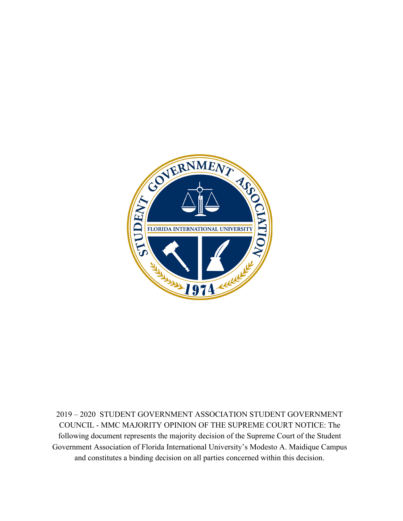

2019 – 2020 STUDENT GOVERNMENT ASSOCIATION STUDENT GOVERNMENT COUNCIL - MMC MAJORITY OPINION OF THE SUPREME COURT NOTICE: The following document represents the majority decision of the Supreme Court of the Student Government Association of Florida International University's Modesto A. Maidique Campus and constitutes a binding decision on all parties concerned within this decision.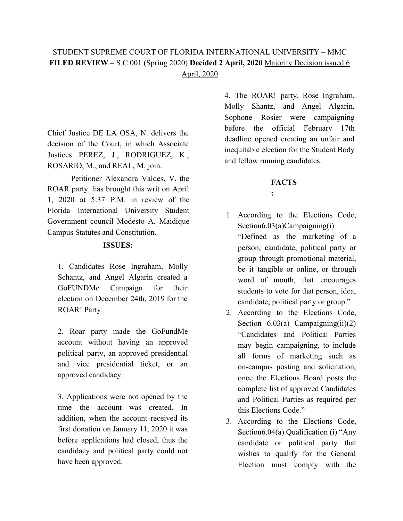## STUDENT SUPREME COURT OF FLORIDA INTERNATIONAL UNIVERSITY – MMC **FILED REVIEW** – S.C.001 (Spring 2020) **Decided 2 April, 2020** Majority Decision issued 6 April, 2020

Chief Justice DE LA OSA, N. delivers the decision of the Court, in which Associate Justices PEREZ, J., RODRIGUEZ, K., ROSARIO, M., and REAL, M. join.

Petitioner Alexandra Valdes, V. the ROAR party has brought this writ on April 1, 2020 at 5:37 P.M. in review of the Florida International University Student Government council Modesto A. Maidique Campus Statutes and Constitution.

## **ISSUES:**

1. Candidates Rose Ingraham, Molly Schantz, and Angel Algarin created a GoFUNDMe Campaign for their election on December 24th, 2019 for the ROAR! Party.

2. Roar party made the GoFundMe account without having an approved political party, an approved presidential and vice presidential ticket, or an approved candidacy.

3. Applications were not opened by the time the account was created. In addition, when the account received its first donation on January 11, 2020 it was before applications had closed, thus the candidacy and political party could not have been approved.

4. The ROAR! party, Rose Ingraham, Molly Shantz, and Angel Algarin, Sophone Rosier were campaigning before the official February 17th deadline opened creating an unfair and inequitable election for the Student Body and fellow running candidates.

## **FACTS**

| I      |  |
|--------|--|
|        |  |
| $\sim$ |  |

- 1. According to the Elections Code, Section6.03(a)Campaigning(i) "Defined as the marketing of a person, candidate, political party or group through promotional material, be it tangible or online, or through word of mouth, that encourages students to vote for that person, idea, candidate, political party or group."
- 2. According to the Elections Code, Section  $6.03(a)$  Campaigning(ii)(2) "Candidates and Political Parties may begin campaigning, to include all forms of marketing such as on-campus posting and solicitation, once the Elections Board posts the complete list of approved Candidates and Political Parties as required per this Elections Code."
- 3. According to the Elections Code, Section6.04(a) Qualification (i) "Any candidate or political party that wishes to qualify for the General Election must comply with the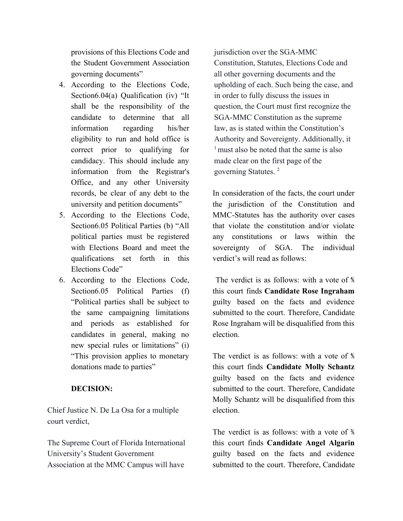provisions of this Elections Code and the Student Government Association governing documents"

- 4. According to the Elections Code, Section6.04(a) Qualification (iv) "It shall be the responsibility of the candidate to determine that all information regarding his/her eligibility to run and hold office is correct prior to qualifying for candidacy. This should include any information from the Registrar's Office, and any other University records, be clear of any debt to the university and petition documents"
- 5. According to the Elections Code, Section6.05 Political Parties (b) "All political parties must be registered with Elections Board and meet the qualifications set forth in this Elections Code"
- 6. According to the Elections Code, Section6.05 Political Parties (f) "Political parties shall be subject to the same campaigning limitations and periods as established for candidates in general, making no new special rules or limitations" (i) "This provision applies to monetary donations made to parties"

## **DECISION:**

Chief Justice N. De La Osa for a multiple court verdict,

The Supreme Court of Florida International University's Student Government Association at the MMC Campus will have

jurisdiction over the SGA-MMC Constitution, Statutes, Elections Code and all other governing documents and the upholding of each. Such being the case, and in order to fully discuss the issues in question, the Court must first recognize the SGA-MMC Constitution as the supreme law, as is stated within the Constitution's Authority and Sovereignty. Additionally, it  $<sup>1</sup>$  must also be noted that the same is also</sup> made clear on the first page of the governing Statutes. <sup>2</sup>

In consideration of the facts, the court under the jurisdiction of the Constitution and MMC-Statutes has the authority over cases that violate the constitution and/or violate any constitutions or laws within the sovereignty of SGA. The individual verdict's will read as follows:

The verdict is as follows: with a vote of ⅘ this court finds **Candidate Rose Ingraham** guilty based on the facts and evidence submitted to the court. Therefore, Candidate Rose Ingraham will be disqualified from this election.

The verdict is as follows: with a vote of ⅘ this court finds **Candidate Molly Schantz** guilty based on the facts and evidence submitted to the court. Therefore, Candidate Molly Schantz will be disqualified from this election.

The verdict is as follows: with a vote of  $\frac{3}{6}$ this court finds **Candidate Angel Algarin** guilty based on the facts and evidence submitted to the court. Therefore, Candidate